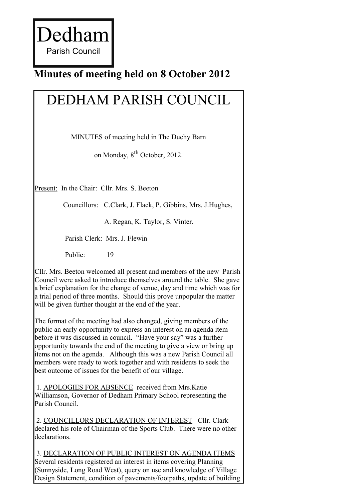Dedham Parish Council

# **Minutes of meeting held on 8 October 2012**

# DEDHAM PARISH COUNCIL

MINUTES of meeting held in The Duchy Barn

on Monday, 8<sup>th</sup> October, 2012.

Present: In the Chair: Cllr. Mrs. S. Beeton

Councillors: C.Clark, J. Flack, P. Gibbins, Mrs. J.Hughes,

A. Regan, K. Taylor, S. Vinter.

Parish Clerk: Mrs. J. Flewin

Public: 19

Cllr. Mrs. Beeton welcomed all present and members of the new Parish Council were asked to introduce themselves around the table. She gave a brief explanation for the change of venue, day and time which was for a trial period of three months. Should this prove unpopular the matter will be given further thought at the end of the year.

The format of the meeting had also changed, giving members of the public an early opportunity to express an interest on an agenda item before it was discussed in council. "Have your say" was a further opportunity towards the end of the meeting to give a view or bring up items not on the agenda. Although this was a new Parish Council all members were ready to work together and with residents to seek the best outcome of issues for the benefit of our village.

1. APOLOGIES FOR ABSENCE received from Mrs.Katie Williamson, Governor of Dedham Primary School representing the Parish Council.

2. COUNCILLORS DECLARATION OF INTEREST Cllr. Clark declared his role of Chairman of the Sports Club. There were no other declarations.

3. DECLARATION OF PUBLIC INTEREST ON AGENDA ITEMS Several residents registered an interest in items covering Planning (Sunnyside, Long Road West), query on use and knowledge of Village Design Statement, condition of pavements/footpaths, update of building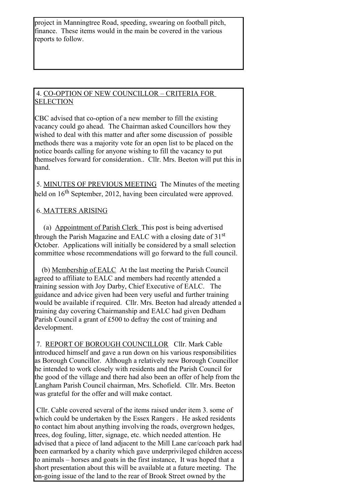project in Manningtree Road, speeding, swearing on football pitch, finance. These items would in the main be covered in the various reports to follow.

#### 4. CO-OPTION OF NEW COUNCILLOR – CRITERIA FOR **SELECTION**

CBC advised that co-option of a new member to fill the existing vacancy could go ahead. The Chairman asked Councillors how they wished to deal with this matter and after some discussion of possible methods there was a majority vote for an open list to be placed on the notice boards calling for anyone wishing to fill the vacancy to put themselves forward for consideration.. Cllr. Mrs. Beeton will put this in hand.

5. MINUTES OF PREVIOUS MEETING The Minutes of the meeting held on 16<sup>th</sup> September, 2012, having been circulated were approved.

### 6. MATTERS ARISING

(a) Appointment of Parish Clerk This post is being advertised through the Parish Magazine and EALC with a closing date of 31<sup>st</sup> October. Applications will initially be considered by a small selection committee whose recommendations will go forward to the full council.

(b) Membership of EALC At the last meeting the Parish Council agreed to affiliate to EALC and members had recently attended a training session with Joy Darby, Chief Executive of EALC. The guidance and advice given had been very useful and further training would be available if required. Cllr. Mrs. Beeton had already attended a training day covering Chairmanship and EALC had given Dedham Parish Council a grant of £500 to defray the cost of training and development.

7. REPORT OF BOROUGH COUNCILLOR Cllr. Mark Cable introduced himself and gave a run down on his various responsibilities as Borough Councillor. Although a relatively new Borough Councillor he intended to work closely with residents and the Parish Council for the good of the village and there had also been an offer of help from the Langham Parish Council chairman, Mrs. Schofield. Cllr. Mrs. Beeton was grateful for the offer and will make contact.

Cllr. Cable covered several of the items raised under item 3. some of which could be undertaken by the Essex Rangers . He asked residents to contact him about anything involving the roads, overgrown hedges, trees, dog fouling, litter, signage, etc. which needed attention. He advised that a piece of land adjacent to the Mill Lane car/coach park had been earmarked by a charity which gave underprivileged children access to animals – horses and goats in the first instance, It was hoped that a short presentation about this will be available at a future meeting. The on-going issue of the land to the rear of Brook Street owned by the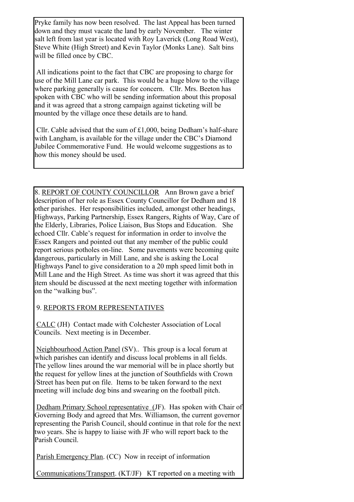Pryke family has now been resolved. The last Appeal has been turned down and they must vacate the land by early November. The winter salt left from last year is located with Roy Laverick (Long Road West), Steve White (High Street) and Kevin Taylor (Monks Lane). Salt bins will be filled once by CBC.

All indications point to the fact that CBC are proposing to charge for use of the Mill Lane car park. This would be a huge blow to the village where parking generally is cause for concern. Cllr. Mrs. Beeton has spoken with CBC who will be sending information about this proposal and it was agreed that a strong campaign against ticketing will be mounted by the village once these details are to hand.

Cllr. Cable advised that the sum of £1,000, being Dedham's half-share with Langham, is available for the village under the CBC's Diamond Jubilee Commemorative Fund. He would welcome suggestions as to how this money should be used.

8. REPORT OF COUNTY COUNCILLOR Ann Brown gave a brief description of her role as Essex County Councillor for Dedham and 18 other parishes. Her responsibilities included, amongst other headings, Highways, Parking Partnership, Essex Rangers, Rights of Way, Care of the Elderly, Libraries, Police Liaison, Bus Stops and Education. She echoed Cllr. Cable's request for information in order to involve the Essex Rangers and pointed out that any member of the public could report serious potholes on-line. Some pavements were becoming quite dangerous, particularly in Mill Lane, and she is asking the Local Highways Panel to give consideration to a 20 mph speed limit both in Mill Lane and the High Street. As time was short it was agreed that this item should be discussed at the next meeting together with information on the "walking bus".

### 9. REPORTS FROM REPRESENTATIVES

CALC (JH) Contact made with Colchester Association of Local Councils. Next meeting is in December.

Neighbourhood Action Panel (SV).. This group is a local forum at which parishes can identify and discuss local problems in all fields. The yellow lines around the war memorial will be in place shortly but the request for yellow lines at the junction of Southfields with Crown /Street has been put on file. Items to be taken forward to the next meeting will include dog bins and swearing on the football pitch.

 Dedham Primary School representative (JF). Has spoken with Chair of Governing Body and agreed that Mrs. Williamson, the current governor representing the Parish Council, should continue in that role for the next two years. She is happy to liaise with JF who will report back to the Parish Council.

Parish Emergency Plan. (CC) Now in receipt of information

Communications/Transport. (KT/JF) KT reported on a meeting with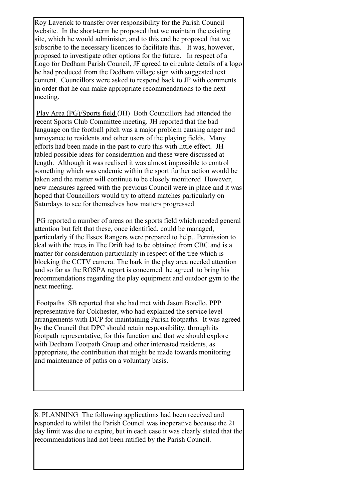Roy Laverick to transfer over responsibility for the Parish Council website. In the short-term he proposed that we maintain the existing site, which he would administer, and to this end he proposed that we subscribe to the necessary licences to facilitate this. It was, however, proposed to investigate other options for the future. In respect of a Logo for Dedham Parish Council, JF agreed to circulate details of a logo he had produced from the Dedham village sign with suggested text content. Councillors were asked to respond back to JF with comments in order that he can make appropriate recommendations to the next meeting.

Play Area (PG)/Sports field (JH) Both Councillors had attended the recent Sports Club Committee meeting. JH reported that the bad language on the football pitch was a major problem causing anger and annoyance to residents and other users of the playing fields. Many efforts had been made in the past to curb this with little effect. JH tabled possible ideas for consideration and these were discussed at length. Although it was realised it was almost impossible to control something which was endemic within the sport further action would be taken and the matter will continue to be closely monitored However, new measures agreed with the previous Council were in place and it was hoped that Councillors would try to attend matches particularly on Saturdays to see for themselves how matters progressed

PG reported a number of areas on the sports field which needed general attention but felt that these, once identified. could be managed, particularly if the Essex Rangers were prepared to help.. Permission to deal with the trees in The Drift had to be obtained from CBC and is a matter for consideration particularly in respect of the tree which is blocking the CCTV camera. The bark in the play area needed attention and so far as the ROSPA report is concerned he agreed to bring his recommendations regarding the play equipment and outdoor gym to the next meeting.

 Footpaths SB reported that she had met with Jason Botello, PPP representative for Colchester, who had explained the service level arrangements with DCP for maintaining Parish footpaths. It was agreed by the Council that DPC should retain responsibility, through its footpath representative, for this function and that we should explore with Dedham Footpath Group and other interested residents, as appropriate, the contribution that might be made towards monitoring and maintenance of paths on a voluntary basis.

8. PLANNING The following applications had been received and responded to whilst the Parish Council was inoperative because the 21 day limit was due to expire, but in each case it was clearly stated that the recommendations had not been ratified by the Parish Council.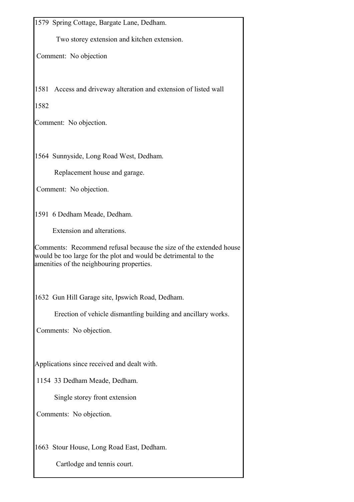1579 Spring Cottage, Bargate Lane, Dedham. Two storey extension and kitchen extension. Comment: No objection 1581 Access and driveway alteration and extension of listed wall 1582 Comment: No objection. 1564 Sunnyside, Long Road West, Dedham. Replacement house and garage. Comment: No objection. 1591 6 Dedham Meade, Dedham. Extension and alterations. Comments: Recommend refusal because the size of the extended house would be too large for the plot and would be detrimental to the amenities of the neighbouring properties. 1632 Gun Hill Garage site, Ipswich Road, Dedham. Erection of vehicle dismantling building and ancillary works. Comments: No objection. Applications since received and dealt with. 1154 33 Dedham Meade, Dedham. Single storey front extension Comments: No objection. 1663 Stour House, Long Road East, Dedham. Cartlodge and tennis court.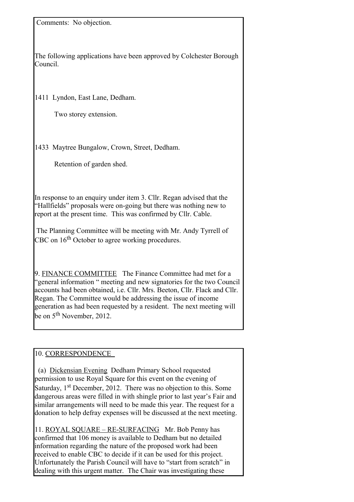Comments: No objection.

The following applications have been approved by Colchester Borough Council.

1411 Lyndon, East Lane, Dedham.

Two storey extension.

1433 Maytree Bungalow, Crown, Street, Dedham.

Retention of garden shed.

In response to an enquiry under item 3. Cllr. Regan advised that the "Hallfields" proposals were on-going but there was nothing new to report at the present time. This was confirmed by Cllr. Cable.

The Planning Committee will be meeting with Mr. Andy Tyrrell of CBC on 16<sup>th</sup> October to agree working procedures.

9. FINANCE COMMITTEE The Finance Committee had met for a "general information " meeting and new signatories for the two Council accounts had been obtained, i.e. Cllr. Mrs. Beeton, Cllr. Flack and Cllr. Regan. The Committee would be addressing the issue of income generation as had been requested by a resident. The next meeting will be on  $5<sup>th</sup>$  November, 2012.

#### 10. CORRESPONDENCE

(a) Dickensian Evening Dedham Primary School requested permission to use Royal Square for this event on the evening of Saturday, 1<sup>st</sup> December, 2012. There was no objection to this. Some dangerous areas were filled in with shingle prior to last year's Fair and similar arrangements will need to be made this year. The request for a donation to help defray expenses will be discussed at the next meeting.

11. ROYAL SQUARE – RE-SURFACING Mr. Bob Penny has confirmed that 106 money is available to Dedham but no detailed information regarding the nature of the proposed work had been received to enable CBC to decide if it can be used for this project. Unfortunately the Parish Council will have to "start from scratch" in dealing with this urgent matter. The Chair was investigating these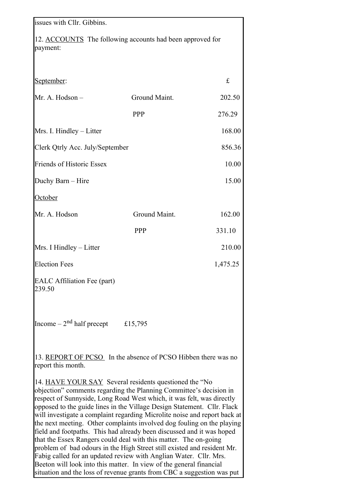| issues with Cllr. Gibbins.                                                                                                                                                                                                                                                                                                                                                                                                                                                                                                                                                                                                                                                                                                                                                                                  |                                                                        |          |
|-------------------------------------------------------------------------------------------------------------------------------------------------------------------------------------------------------------------------------------------------------------------------------------------------------------------------------------------------------------------------------------------------------------------------------------------------------------------------------------------------------------------------------------------------------------------------------------------------------------------------------------------------------------------------------------------------------------------------------------------------------------------------------------------------------------|------------------------------------------------------------------------|----------|
| 12. ACCOUNTS The following accounts had been approved for<br>payment:                                                                                                                                                                                                                                                                                                                                                                                                                                                                                                                                                                                                                                                                                                                                       |                                                                        |          |
| September:                                                                                                                                                                                                                                                                                                                                                                                                                                                                                                                                                                                                                                                                                                                                                                                                  |                                                                        | £        |
| Mr. A. Hodson -                                                                                                                                                                                                                                                                                                                                                                                                                                                                                                                                                                                                                                                                                                                                                                                             | Ground Maint.                                                          | 202.50   |
|                                                                                                                                                                                                                                                                                                                                                                                                                                                                                                                                                                                                                                                                                                                                                                                                             | <b>PPP</b>                                                             | 276.29   |
| Mrs. I. Hindley – Litter                                                                                                                                                                                                                                                                                                                                                                                                                                                                                                                                                                                                                                                                                                                                                                                    |                                                                        | 168.00   |
| Clerk Qtrly Acc. July/September                                                                                                                                                                                                                                                                                                                                                                                                                                                                                                                                                                                                                                                                                                                                                                             |                                                                        | 856.36   |
| Friends of Historic Essex                                                                                                                                                                                                                                                                                                                                                                                                                                                                                                                                                                                                                                                                                                                                                                                   |                                                                        | 10.00    |
| Duchy Barn - Hire                                                                                                                                                                                                                                                                                                                                                                                                                                                                                                                                                                                                                                                                                                                                                                                           |                                                                        | 15.00    |
| October                                                                                                                                                                                                                                                                                                                                                                                                                                                                                                                                                                                                                                                                                                                                                                                                     |                                                                        |          |
| Mr. A. Hodson                                                                                                                                                                                                                                                                                                                                                                                                                                                                                                                                                                                                                                                                                                                                                                                               | Ground Maint.                                                          | 162.00   |
|                                                                                                                                                                                                                                                                                                                                                                                                                                                                                                                                                                                                                                                                                                                                                                                                             | <b>PPP</b>                                                             | 331.10   |
| Mrs. I Hindley – Litter                                                                                                                                                                                                                                                                                                                                                                                                                                                                                                                                                                                                                                                                                                                                                                                     |                                                                        | 210.00   |
| <b>Election Fees</b>                                                                                                                                                                                                                                                                                                                                                                                                                                                                                                                                                                                                                                                                                                                                                                                        |                                                                        | 1,475.25 |
| <b>EALC</b> Affiliation Fee (part)<br>239.50                                                                                                                                                                                                                                                                                                                                                                                                                                                                                                                                                                                                                                                                                                                                                                |                                                                        |          |
| Income $-2nd$ half precept                                                                                                                                                                                                                                                                                                                                                                                                                                                                                                                                                                                                                                                                                                                                                                                  | £15,795                                                                |          |
| 13. REPORT OF PCSO In the absence of PCSO Hibben there was no<br>report this month.                                                                                                                                                                                                                                                                                                                                                                                                                                                                                                                                                                                                                                                                                                                         |                                                                        |          |
| 14. HAVE YOUR SAY Several residents questioned the "No<br>objection" comments regarding the Planning Committee's decision in<br>respect of Sunnyside, Long Road West which, it was felt, was directly<br>opposed to the guide lines in the Village Design Statement. Cllr. Flack<br>will investigate a complaint regarding Microlite noise and report back at<br>the next meeting. Other complaints involved dog fouling on the playing<br>field and footpaths. This had already been discussed and it was hoped<br>that the Essex Rangers could deal with this matter. The on-going<br>problem of bad odours in the High Street still existed and resident Mr.<br>Fabig called for an updated review with Anglian Water. Cllr. Mrs.<br>Beeton will look into this matter. In view of the general financial | situation and the loss of revenue grants from CBC a suggestion was put |          |